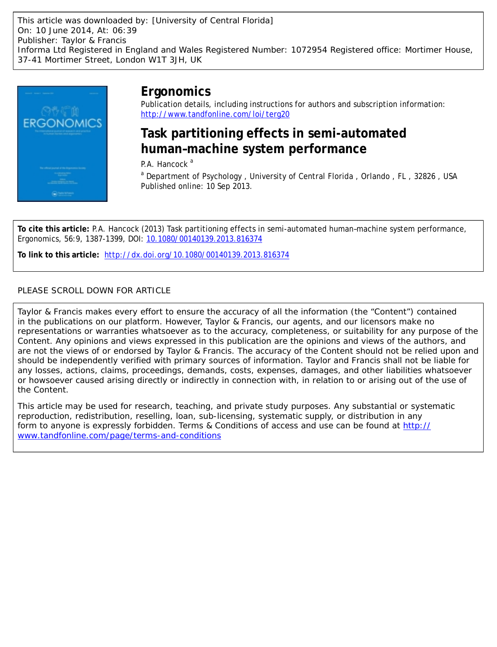

Publication details, including instructions for authors and subscription information: <http://www.tandfonline.com/loi/terg20>

# **Task partitioning effects in semi-automated human–machine system performance**

P.A. Hancock<sup>a</sup>

<sup>a</sup> Department of Psychology, University of Central Florida, Orlando, FL, 32826, USA Published online: 10 Sep 2013.

**To cite this article:** P.A. Hancock (2013) Task partitioning effects in semi-automated human–machine system performance, Ergonomics, 56:9, 1387-1399, DOI: [10.1080/00140139.2013.816374](http://www.tandfonline.com/action/showCitFormats?doi=10.1080/00140139.2013.816374)

**To link to this article:** <http://dx.doi.org/10.1080/00140139.2013.816374>

## PLEASE SCROLL DOWN FOR ARTICLE

Taylor & Francis makes every effort to ensure the accuracy of all the information (the "Content") contained in the publications on our platform. However, Taylor & Francis, our agents, and our licensors make no representations or warranties whatsoever as to the accuracy, completeness, or suitability for any purpose of the Content. Any opinions and views expressed in this publication are the opinions and views of the authors, and are not the views of or endorsed by Taylor & Francis. The accuracy of the Content should not be relied upon and should be independently verified with primary sources of information. Taylor and Francis shall not be liable for any losses, actions, claims, proceedings, demands, costs, expenses, damages, and other liabilities whatsoever or howsoever caused arising directly or indirectly in connection with, in relation to or arising out of the use of the Content.

This article may be used for research, teaching, and private study purposes. Any substantial or systematic reproduction, redistribution, reselling, loan, sub-licensing, systematic supply, or distribution in any form to anyone is expressly forbidden. Terms & Conditions of access and use can be found at [http://](http://www.tandfonline.com/page/terms-and-conditions) [www.tandfonline.com/page/terms-and-conditions](http://www.tandfonline.com/page/terms-and-conditions)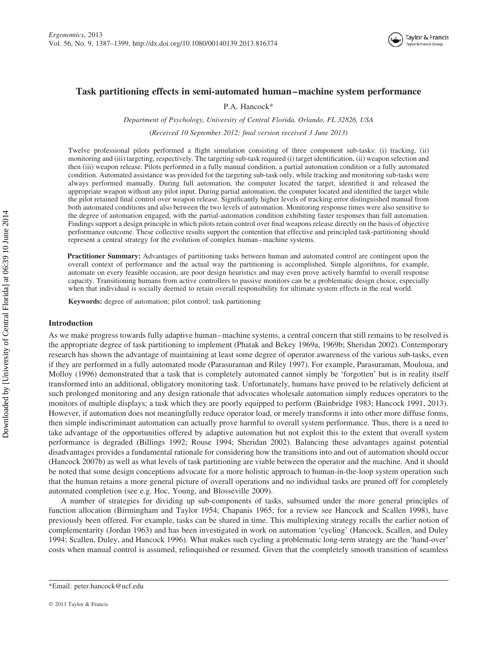

## Task partitioning effects in semi-automated human –machine system performance

P.A. Hancock\*

Department of Psychology, University of Central Florida, Orlando, FL 32826, USA

(Received 10 September 2012; final version received 3 June 2013)

Twelve professional pilots performed a flight simulation consisting of three component sub-tasks: (i) tracking, (ii) monitoring and (iii) targeting, respectively. The targeting sub-task required (i) target identification, (ii) weapon selection and then (iii) weapon release. Pilots performed in a fully manual condition, a partial automation condition or a fully automated condition. Automated assistance was provided for the targeting sub-task only, while tracking and monitoring sub-tasks were always performed manually. During full automation, the computer located the target, identified it and released the appropriate weapon without any pilot input. During partial automation, the computer located and identified the target while the pilot retained final control over weapon release. Significantly higher levels of tracking error distinguished manual from both automated conditions and also between the two levels of automation. Monitoring response times were also sensitive to the degree of automation engaged, with the partial-automation condition exhibiting faster responses than full automation. Findings support a design principle in which pilots retain control over final weapons release directly on the basis of objective performance outcome. These collective results support the contention that effective and principled task-partitioning should represent a central strategy for the evolution of complex human–machine systems.

Practitioner Summary: Advantages of partitioning tasks between human and automated control are contingent upon the overall context of performance and the actual way the partitioning is accomplished. Simple algorithms, for example, automate on every feasible occasion, are poor design heuristics and may even prove actively harmful to overall response capacity. Transitioning humans from active controllers to passive monitors can be a problematic design choice, especially when that individual is socially deemed to retain overall responsibility for ultimate system effects in the real world.

Keywords: degree of automation; pilot control; task partitioning

#### Introduction

As we make progress towards fully adaptive human –machine systems, a central concern that still remains to be resolved is the appropriate degree of task partitioning to implement (Phatak and Bekey 1969a, 1969b; Sheridan 2002). Contemporary research has shown the advantage of maintaining at least some degree of operator awareness of the various sub-tasks, even if they are performed in a fully automated mode (Parasuraman and Riley 1997). For example, Parasuraman, Mouloua, and Molloy (1996) demonstrated that a task that is completely automated cannot simply be 'forgotten' but is in reality itself transformed into an additional, obligatory monitoring task. Unfortunately, humans have proved to be relatively deficient at such prolonged monitoring and any design rationale that advocates wholesale automation simply reduces operators to the monitors of multiple displays; a task which they are poorly equipped to perform (Bainbridge 1983; Hancock 1991, 2013). However, if automation does not meaningfully reduce operator load, or merely transforms it into other more diffuse forms, then simple indiscriminant automation can actually prove harmful to overall system performance. Thus, there is a need to take advantage of the opportunities offered by adaptive automation but not exploit this to the extent that overall system performance is degraded (Billings 1992; Rouse 1994; Sheridan 2002). Balancing these advantages against potential disadvantages provides a fundamental rationale for considering how the transitions into and out of automation should occur (Hancock 2007b) as well as what levels of task partitioning are viable between the operator and the machine. And it should be noted that some design conceptions advocate for a more holistic approach to human-in-the-loop system operation such that the human retains a more general picture of overall operations and no individual tasks are pruned off for completely automated completion (see e.g. Hoc, Young, and Blosseville 2009).

A number of strategies for dividing up sub-components of tasks, subsumed under the more general principles of function allocation (Birmingham and Taylor 1954; Chapanis 1965; for a review see Hancock and Scallen 1998), have previously been offered. For example, tasks can be shared in time. This multiplexing strategy recalls the earlier notion of complementarity (Jordan 1963) and has been investigated in work on automation 'cycling' (Hancock, Scallen, and Duley 1994; Scallen, Duley, and Hancock 1996). What makes such cycling a problematic long-term strategy are the 'hand-over' costs when manual control is assumed, relinquished or resumed. Given that the completely smooth transition of seamless

<sup>\*</sup>Email: peter.hancock@ucf.edu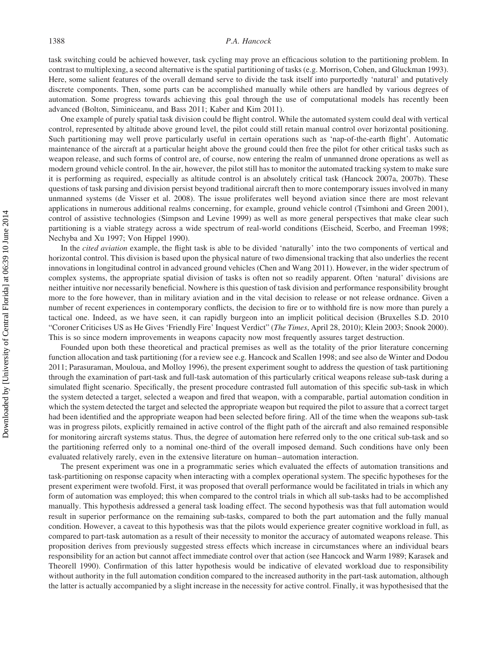task switching could be achieved however, task cycling may prove an efficacious solution to the partitioning problem. In contrast to multiplexing, a second alternative is the spatial partitioning of tasks (e.g. Morrison, Cohen, and Gluckman 1993). Here, some salient features of the overall demand serve to divide the task itself into purportedly 'natural' and putatively discrete components. Then, some parts can be accomplished manually while others are handled by various degrees of automation. Some progress towards achieving this goal through the use of computational models has recently been advanced (Bolton, Siminiceanu, and Bass 2011; Kaber and Kim 2011).

One example of purely spatial task division could be flight control. While the automated system could deal with vertical control, represented by altitude above ground level, the pilot could still retain manual control over horizontal positioning. Such partitioning may well prove particularly useful in certain operations such as 'nap-of-the-earth flight'. Automatic maintenance of the aircraft at a particular height above the ground could then free the pilot for other critical tasks such as weapon release, and such forms of control are, of course, now entering the realm of unmanned drone operations as well as modern ground vehicle control. In the air, however, the pilot still has to monitor the automated tracking system to make sure it is performing as required, especially as altitude control is an absolutely critical task (Hancock 2007a, 2007b). These questions of task parsing and division persist beyond traditional aircraft then to more contemporary issues involved in many unmanned systems (de Visser et al. 2008). The issue proliferates well beyond aviation since there are most relevant applications in numerous additional realms concerning, for example, ground vehicle control (Tsimhoni and Green 2001), control of assistive technologies (Simpson and Levine 1999) as well as more general perspectives that make clear such partitioning is a viable strategy across a wide spectrum of real-world conditions (Eischeid, Scerbo, and Freeman 1998; Nechyba and Xu 1997; Von Hippel 1990).

In the cited aviation example, the flight task is able to be divided 'naturally' into the two components of vertical and horizontal control. This division is based upon the physical nature of two dimensional tracking that also underlies the recent innovations in longitudinal control in advanced ground vehicles (Chen and Wang 2011). However, in the wider spectrum of complex systems, the appropriate spatial division of tasks is often not so readily apparent. Often 'natural' divisions are neither intuitive nor necessarily beneficial. Nowhere is this question of task division and performance responsibility brought more to the fore however, than in military aviation and in the vital decision to release or not release ordnance. Given a number of recent experiences in contemporary conflicts, the decision to fire or to withhold fire is now more than purely a tactical one. Indeed, as we have seen, it can rapidly burgeon into an implicit political decision (Bruxelles S.D. 2010 "Coroner Criticises US as He Gives 'Friendly Fire' Inquest Verdict" (The Times, April 28, 2010); Klein 2003; Snook 2000). This is so since modern improvements in weapons capacity now most frequently assures target destruction.

Founded upon both these theoretical and practical premises as well as the totality of the prior literature concerning function allocation and task partitioning (for a review see e.g. Hancock and Scallen 1998; and see also de Winter and Dodou 2011; Parasuraman, Mouloua, and Molloy 1996), the present experiment sought to address the question of task partitioning through the examination of part-task and full-task automation of this particularly critical weapons release sub-task during a simulated flight scenario. Specifically, the present procedure contrasted full automation of this specific sub-task in which the system detected a target, selected a weapon and fired that weapon, with a comparable, partial automation condition in which the system detected the target and selected the appropriate weapon but required the pilot to assure that a correct target had been identified and the appropriate weapon had been selected before firing. All of the time when the weapons sub-task was in progress pilots, explicitly remained in active control of the flight path of the aircraft and also remained responsible for monitoring aircraft systems status. Thus, the degree of automation here referred only to the one critical sub-task and so the partitioning referred only to a nominal one-third of the overall imposed demand. Such conditions have only been evaluated relatively rarely, even in the extensive literature on human –automation interaction.

The present experiment was one in a programmatic series which evaluated the effects of automation transitions and task-partitioning on response capacity when interacting with a complex operational system. The specific hypotheses for the present experiment were twofold. First, it was proposed that overall performance would be facilitated in trials in which any form of automation was employed; this when compared to the control trials in which all sub-tasks had to be accomplished manually. This hypothesis addressed a general task loading effect. The second hypothesis was that full automation would result in superior performance on the remaining sub-tasks, compared to both the part automation and the fully manual condition. However, a caveat to this hypothesis was that the pilots would experience greater cognitive workload in full, as compared to part-task automation as a result of their necessity to monitor the accuracy of automated weapons release. This proposition derives from previously suggested stress effects which increase in circumstances where an individual bears responsibility for an action but cannot affect immediate control over that action (see Hancock and Warm 1989; Karasek and Theorell 1990). Confirmation of this latter hypothesis would be indicative of elevated workload due to responsibility without authority in the full automation condition compared to the increased authority in the part-task automation, although the latter is actually accompanied by a slight increase in the necessity for active control. Finally, it was hypothesised that the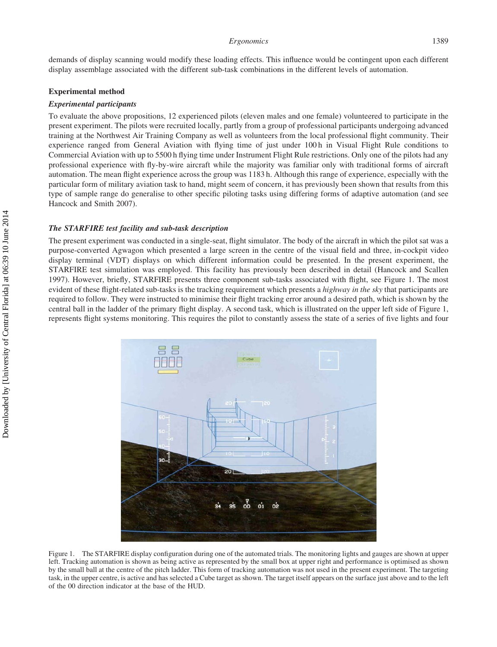demands of display scanning would modify these loading effects. This influence would be contingent upon each different display assemblage associated with the different sub-task combinations in the different levels of automation.

## Experimental method

## Experimental participants

To evaluate the above propositions, 12 experienced pilots (eleven males and one female) volunteered to participate in the present experiment. The pilots were recruited locally, partly from a group of professional participants undergoing advanced training at the Northwest Air Training Company as well as volunteers from the local professional flight community. Their experience ranged from General Aviation with flying time of just under 100 h in Visual Flight Rule conditions to Commercial Aviation with up to 5500 h flying time under Instrument Flight Rule restrictions. Only one of the pilots had any professional experience with fly-by-wire aircraft while the majority was familiar only with traditional forms of aircraft automation. The mean flight experience across the group was 1183 h. Although this range of experience, especially with the particular form of military aviation task to hand, might seem of concern, it has previously been shown that results from this type of sample range do generalise to other specific piloting tasks using differing forms of adaptive automation (and see Hancock and Smith 2007).

## The STARFIRE test facility and sub-task description

The present experiment was conducted in a single-seat, flight simulator. The body of the aircraft in which the pilot sat was a purpose-converted Agwagon which presented a large screen in the centre of the visual field and three, in-cockpit video display terminal (VDT) displays on which different information could be presented. In the present experiment, the STARFIRE test simulation was employed. This facility has previously been described in detail (Hancock and Scallen 1997). However, briefly, STARFIRE presents three component sub-tasks associated with flight, see Figure 1. The most evident of these flight-related sub-tasks is the tracking requirement which presents a *highway in the sky* that participants are required to follow. They were instructed to minimise their flight tracking error around a desired path, which is shown by the central ball in the ladder of the primary flight display. A second task, which is illustrated on the upper left side of Figure 1, represents flight systems monitoring. This requires the pilot to constantly assess the state of a series of five lights and four



Figure 1. The STARFIRE display configuration during one of the automated trials. The monitoring lights and gauges are shown at upper left. Tracking automation is shown as being active as represented by the small box at upper right and performance is optimised as shown by the small ball at the centre of the pitch ladder. This form of tracking automation was not used in the present experiment. The targeting task, in the upper centre, is active and has selected a Cube target as shown. The target itself appears on the surface just above and to the left of the 00 direction indicator at the base of the HUD.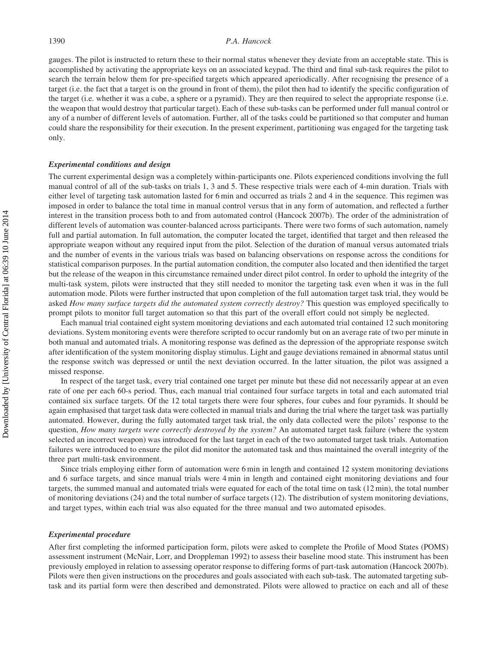gauges. The pilot is instructed to return these to their normal status whenever they deviate from an acceptable state. This is accomplished by activating the appropriate keys on an associated keypad. The third and final sub-task requires the pilot to search the terrain below them for pre-specified targets which appeared aperiodically. After recognising the presence of a target (i.e. the fact that a target is on the ground in front of them), the pilot then had to identify the specific configuration of the target (i.e. whether it was a cube, a sphere or a pyramid). They are then required to select the appropriate response (i.e. the weapon that would destroy that particular target). Each of these sub-tasks can be performed under full manual control or any of a number of different levels of automation. Further, all of the tasks could be partitioned so that computer and human could share the responsibility for their execution. In the present experiment, partitioning was engaged for the targeting task only.

## Experimental conditions and design

The current experimental design was a completely within-participants one. Pilots experienced conditions involving the full manual control of all of the sub-tasks on trials 1, 3 and 5. These respective trials were each of 4-min duration. Trials with either level of targeting task automation lasted for 6 min and occurred as trials 2 and 4 in the sequence. This regimen was imposed in order to balance the total time in manual control versus that in any form of automation, and reflected a further interest in the transition process both to and from automated control (Hancock 2007b). The order of the administration of different levels of automation was counter-balanced across participants. There were two forms of such automation, namely full and partial automation. In full automation, the computer located the target, identified that target and then released the appropriate weapon without any required input from the pilot. Selection of the duration of manual versus automated trials and the number of events in the various trials was based on balancing observations on response across the conditions for statistical comparison purposes. In the partial automation condition, the computer also located and then identified the target but the release of the weapon in this circumstance remained under direct pilot control. In order to uphold the integrity of the multi-task system, pilots were instructed that they still needed to monitor the targeting task even when it was in the full automation mode. Pilots were further instructed that upon completion of the full automation target task trial, they would be asked How many surface targets did the automated system correctly destroy? This question was employed specifically to prompt pilots to monitor full target automation so that this part of the overall effort could not simply be neglected.

Each manual trial contained eight system monitoring deviations and each automated trial contained 12 such monitoring deviations. System monitoring events were therefore scripted to occur randomly but on an average rate of two per minute in both manual and automated trials. A monitoring response was defined as the depression of the appropriate response switch after identification of the system monitoring display stimulus. Light and gauge deviations remained in abnormal status until the response switch was depressed or until the next deviation occurred. In the latter situation, the pilot was assigned a missed response.

In respect of the target task, every trial contained one target per minute but these did not necessarily appear at an even rate of one per each 60-s period. Thus, each manual trial contained four surface targets in total and each automated trial contained six surface targets. Of the 12 total targets there were four spheres, four cubes and four pyramids. It should be again emphasised that target task data were collected in manual trials and during the trial where the target task was partially automated. However, during the fully automated target task trial, the only data collected were the pilots' response to the question, How many targets were correctly destroyed by the system? An automated target task failure (where the system selected an incorrect weapon) was introduced for the last target in each of the two automated target task trials. Automation failures were introduced to ensure the pilot did monitor the automated task and thus maintained the overall integrity of the three part multi-task environment.

Since trials employing either form of automation were 6 min in length and contained 12 system monitoring deviations and 6 surface targets, and since manual trials were 4 min in length and contained eight monitoring deviations and four targets, the summed manual and automated trials were equated for each of the total time on task (12 min), the total number of monitoring deviations (24) and the total number of surface targets (12). The distribution of system monitoring deviations, and target types, within each trial was also equated for the three manual and two automated episodes.

#### Experimental procedure

After first completing the informed participation form, pilots were asked to complete the Profile of Mood States (POMS) assessment instrument (McNair, Lorr, and Droppleman 1992) to assess their baseline mood state. This instrument has been previously employed in relation to assessing operator response to differing forms of part-task automation (Hancock 2007b). Pilots were then given instructions on the procedures and goals associated with each sub-task. The automated targeting subtask and its partial form were then described and demonstrated. Pilots were allowed to practice on each and all of these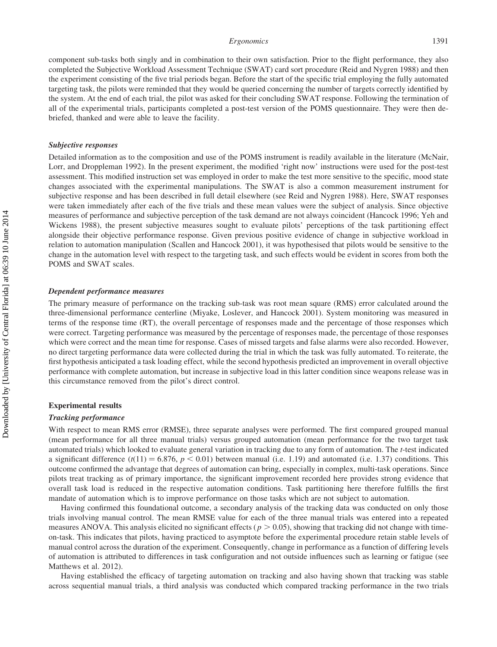component sub-tasks both singly and in combination to their own satisfaction. Prior to the flight performance, they also completed the Subjective Workload Assessment Technique (SWAT) card sort procedure (Reid and Nygren 1988) and then the experiment consisting of the five trial periods began. Before the start of the specific trial employing the fully automated targeting task, the pilots were reminded that they would be queried concerning the number of targets correctly identified by the system. At the end of each trial, the pilot was asked for their concluding SWAT response. Following the termination of all of the experimental trials, participants completed a post-test version of the POMS questionnaire. They were then debriefed, thanked and were able to leave the facility.

## Subjective responses

Detailed information as to the composition and use of the POMS instrument is readily available in the literature (McNair, Lorr, and Droppleman 1992). In the present experiment, the modified 'right now' instructions were used for the post-test assessment. This modified instruction set was employed in order to make the test more sensitive to the specific, mood state changes associated with the experimental manipulations. The SWAT is also a common measurement instrument for subjective response and has been described in full detail elsewhere (see Reid and Nygren 1988). Here, SWAT responses were taken immediately after each of the five trials and these mean values were the subject of analysis. Since objective measures of performance and subjective perception of the task demand are not always coincident (Hancock 1996; Yeh and Wickens 1988), the present subjective measures sought to evaluate pilots' perceptions of the task partitioning effect alongside their objective performance response. Given previous positive evidence of change in subjective workload in relation to automation manipulation (Scallen and Hancock 2001), it was hypothesised that pilots would be sensitive to the change in the automation level with respect to the targeting task, and such effects would be evident in scores from both the POMS and SWAT scales.

### Dependent performance measures

The primary measure of performance on the tracking sub-task was root mean square (RMS) error calculated around the three-dimensional performance centerline (Miyake, Loslever, and Hancock 2001). System monitoring was measured in terms of the response time (RT), the overall percentage of responses made and the percentage of those responses which were correct. Targeting performance was measured by the percentage of responses made, the percentage of those responses which were correct and the mean time for response. Cases of missed targets and false alarms were also recorded. However, no direct targeting performance data were collected during the trial in which the task was fully automated. To reiterate, the first hypothesis anticipated a task loading effect, while the second hypothesis predicted an improvement in overall objective performance with complete automation, but increase in subjective load in this latter condition since weapons release was in this circumstance removed from the pilot's direct control.

#### Experimental results

## Tracking performance

With respect to mean RMS error (RMSE), three separate analyses were performed. The first compared grouped manual (mean performance for all three manual trials) versus grouped automation (mean performance for the two target task automated trials) which looked to evaluate general variation in tracking due to any form of automation. The *t*-test indicated a significant difference  $(t(11) = 6.876, p < 0.01)$  between manual (i.e. 1.19) and automated (i.e. 1.37) conditions. This outcome confirmed the advantage that degrees of automation can bring, especially in complex, multi-task operations. Since pilots treat tracking as of primary importance, the significant improvement recorded here provides strong evidence that overall task load is reduced in the respective automation conditions. Task partitioning here therefore fulfills the first mandate of automation which is to improve performance on those tasks which are not subject to automation.

Having confirmed this foundational outcome, a secondary analysis of the tracking data was conducted on only those trials involving manual control. The mean RMSE value for each of the three manual trials was entered into a repeated measures ANOVA. This analysis elicited no significant effects ( $p > 0.05$ ), showing that tracking did not change with timeon-task. This indicates that pilots, having practiced to asymptote before the experimental procedure retain stable levels of manual control across the duration of the experiment. Consequently, change in performance as a function of differing levels of automation is attributed to differences in task configuration and not outside influences such as learning or fatigue (see Matthews et al. 2012).

Having established the efficacy of targeting automation on tracking and also having shown that tracking was stable across sequential manual trials, a third analysis was conducted which compared tracking performance in the two trials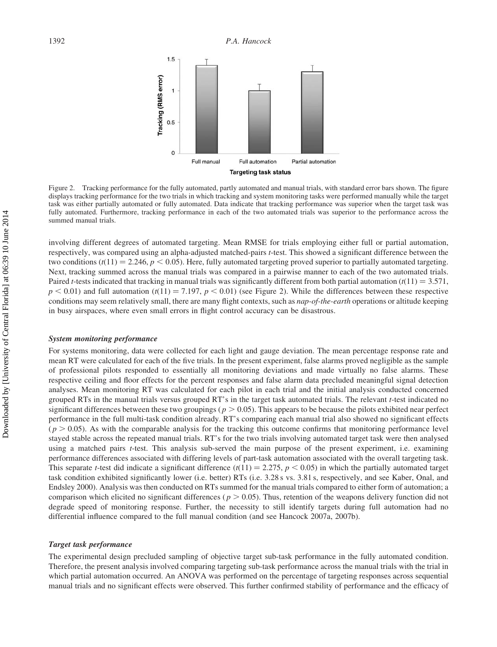

Figure 2. Tracking performance for the fully automated, partly automated and manual trials, with standard error bars shown. The figure displays tracking performance for the two trials in which tracking and system monitoring tasks were performed manually while the target task was either partially automated or fully automated. Data indicate that tracking performance was superior when the target task was fully automated. Furthermore, tracking performance in each of the two automated trials was superior to the performance across the summed manual trials.

involving different degrees of automated targeting. Mean RMSE for trials employing either full or partial automation, respectively, was compared using an alpha-adjusted matched-pairs t-test. This showed a significant difference between the two conditions  $(t(11) = 2.246, p < 0.05)$ . Here, fully automated targeting proved superior to partially automated targeting. Next, tracking summed across the manual trials was compared in a pairwise manner to each of the two automated trials. Paired *t*-tests indicated that tracking in manual trials was significantly different from both partial automation  $(t(11) = 3.571$ ,  $p < 0.01$ ) and full automation (t(11) = 7.197, p < 0.01) (see Figure 2). While the differences between these respective conditions may seem relatively small, there are many flight contexts, such as *nap-of-the-earth* operations or altitude keeping in busy airspaces, where even small errors in flight control accuracy can be disastrous.

## System monitoring performance

For systems monitoring, data were collected for each light and gauge deviation. The mean percentage response rate and mean RT were calculated for each of the five trials. In the present experiment, false alarms proved negligible as the sample of professional pilots responded to essentially all monitoring deviations and made virtually no false alarms. These respective ceiling and floor effects for the percent responses and false alarm data precluded meaningful signal detection analyses. Mean monitoring RT was calculated for each pilot in each trial and the initial analysis conducted concerned grouped RTs in the manual trials versus grouped RT's in the target task automated trials. The relevant t-test indicated no significant differences between these two groupings ( $p > 0.05$ ). This appears to be because the pilots exhibited near perfect performance in the full multi-task condition already. RT's comparing each manual trial also showed no significant effects  $(p > 0.05)$ . As with the comparable analysis for the tracking this outcome confirms that monitoring performance level stayed stable across the repeated manual trials. RT's for the two trials involving automated target task were then analysed using a matched pairs t-test. This analysis sub-served the main purpose of the present experiment, i.e. examining performance differences associated with differing levels of part-task automation associated with the overall targeting task. This separate t-test did indicate a significant difference  $(t(11) = 2.275, p < 0.05)$  in which the partially automated target task condition exhibited significantly lower (i.e. better) RTs (i.e. 3.28 s vs. 3.81 s, respectively, and see Kaber, Onal, and Endsley 2000). Analysis was then conducted on RTs summed for the manual trials compared to either form of automation; a comparison which elicited no significant differences ( $p > 0.05$ ). Thus, retention of the weapons delivery function did not degrade speed of monitoring response. Further, the necessity to still identify targets during full automation had no differential influence compared to the full manual condition (and see Hancock 2007a, 2007b).

## Target task performance

The experimental design precluded sampling of objective target sub-task performance in the fully automated condition. Therefore, the present analysis involved comparing targeting sub-task performance across the manual trials with the trial in which partial automation occurred. An ANOVA was performed on the percentage of targeting responses across sequential manual trials and no significant effects were observed. This further confirmed stability of performance and the efficacy of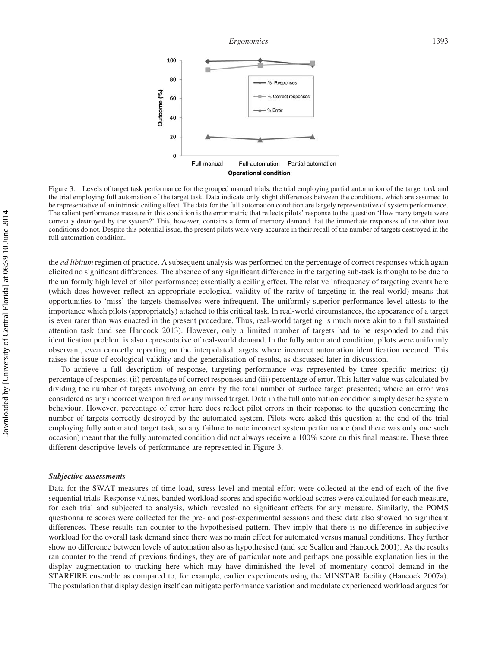

Figure 3. Levels of target task performance for the grouped manual trials, the trial employing partial automation of the target task and the trial employing full automation of the target task. Data indicate only slight differences between the conditions, which are assumed to be representative of an intrinsic ceiling effect. The data for the full automation condition are largely representative of system performance. The salient performance measure in this condition is the error metric that reflects pilots' response to the question 'How many targets were correctly destroyed by the system?' This, however, contains a form of memory demand that the immediate responses of the other two conditions do not. Despite this potential issue, the present pilots were very accurate in their recall of the number of targets destroyed in the full automation condition.

the *ad libitum* regimen of practice. A subsequent analysis was performed on the percentage of correct responses which again elicited no significant differences. The absence of any significant difference in the targeting sub-task is thought to be due to the uniformly high level of pilot performance; essentially a ceiling effect. The relative infrequency of targeting events here (which does however reflect an appropriate ecological validity of the rarity of targeting in the real-world) means that opportunities to 'miss' the targets themselves were infrequent. The uniformly superior performance level attests to the importance which pilots (appropriately) attached to this critical task. In real-world circumstances, the appearance of a target is even rarer than was enacted in the present procedure. Thus, real-world targeting is much more akin to a full sustained attention task (and see Hancock 2013). However, only a limited number of targets had to be responded to and this identification problem is also representative of real-world demand. In the fully automated condition, pilots were uniformly observant, even correctly reporting on the interpolated targets where incorrect automation identification occured. This raises the issue of ecological validity and the generalisation of results, as discussed later in discussion.

To achieve a full description of response, targeting performance was represented by three specific metrics: (i) percentage of responses; (ii) percentage of correct responses and (iii) percentage of error. This latter value was calculated by dividing the number of targets involving an error by the total number of surface target presented; where an error was considered as any incorrect weapon fired or any missed target. Data in the full automation condition simply describe system behaviour. However, percentage of error here does reflect pilot errors in their response to the question concerning the number of targets correctly destroyed by the automated system. Pilots were asked this question at the end of the trial employing fully automated target task, so any failure to note incorrect system performance (and there was only one such occasion) meant that the fully automated condition did not always receive a 100% score on this final measure. These three different descriptive levels of performance are represented in Figure 3.

## Subjective assessments

Data for the SWAT measures of time load, stress level and mental effort were collected at the end of each of the five sequential trials. Response values, banded workload scores and specific workload scores were calculated for each measure, for each trial and subjected to analysis, which revealed no significant effects for any measure. Similarly, the POMS questionnaire scores were collected for the pre- and post-experimental sessions and these data also showed no significant differences. These results ran counter to the hypothesised pattern. They imply that there is no difference in subjective workload for the overall task demand since there was no main effect for automated versus manual conditions. They further show no difference between levels of automation also as hypothesised (and see Scallen and Hancock 2001). As the results ran counter to the trend of previous findings, they are of particular note and perhaps one possible explanation lies in the display augmentation to tracking here which may have diminished the level of momentary control demand in the STARFIRE ensemble as compared to, for example, earlier experiments using the MINSTAR facility (Hancock 2007a). The postulation that display design itself can mitigate performance variation and modulate experienced workload argues for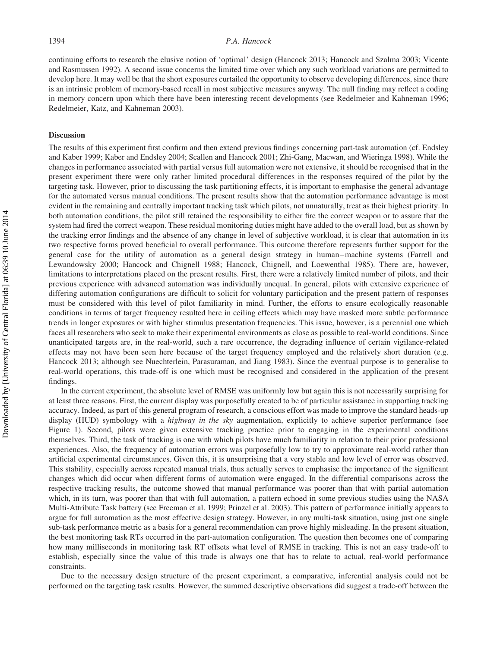continuing efforts to research the elusive notion of 'optimal' design (Hancock 2013; Hancock and Szalma 2003; Vicente and Rasmussen 1992). A second issue concerns the limited time over which any such workload variations are permitted to develop here. It may well be that the short exposures curtailed the opportunity to observe developing differences, since there is an intrinsic problem of memory-based recall in most subjective measures anyway. The null finding may reflect a coding in memory concern upon which there have been interesting recent developments (see Redelmeier and Kahneman 1996; Redelmeier, Katz, and Kahneman 2003).

#### **Discussion**

The results of this experiment first confirm and then extend previous findings concerning part-task automation (cf. Endsley and Kaber 1999; Kaber and Endsley 2004; Scallen and Hancock 2001; Zhi-Gang, Macwan, and Wieringa 1998). While the changes in performance associated with partial versus full automation were not extensive, it should be recognised that in the present experiment there were only rather limited procedural differences in the responses required of the pilot by the targeting task. However, prior to discussing the task partitioning effects, it is important to emphasise the general advantage for the automated versus manual conditions. The present results show that the automation performance advantage is most evident in the remaining and centrally important tracking task which pilots, not unnaturally, treat as their highest priority. In both automation conditions, the pilot still retained the responsibility to either fire the correct weapon or to assure that the system had fired the correct weapon. These residual monitoring duties might have added to the overall load, but as shown by the tracking error findings and the absence of any change in level of subjective workload, it is clear that automation in its two respective forms proved beneficial to overall performance. This outcome therefore represents further support for the general case for the utility of automation as a general design strategy in human–machine systems (Farrell and Lewandowsky 2000; Hancock and Chignell 1988; Hancock, Chignell, and Loewenthal 1985). There are, however, limitations to interpretations placed on the present results. First, there were a relatively limited number of pilots, and their previous experience with advanced automation was individually unequal. In general, pilots with extensive experience of differing automation configurations are difficult to solicit for voluntary participation and the present pattern of responses must be considered with this level of pilot familiarity in mind. Further, the efforts to ensure ecologically reasonable conditions in terms of target frequency resulted here in ceiling effects which may have masked more subtle performance trends in longer exposures or with higher stimulus presentation frequencies. This issue, however, is a perennial one which faces all researchers who seek to make their experimental environments as close as possible to real-world conditions. Since unanticipated targets are, in the real-world, such a rare occurrence, the degrading influence of certain vigilance-related effects may not have been seen here because of the target frequency employed and the relatively short duration (e.g. Hancock 2013; although see Nuechterlein, Parasuraman, and Jiang 1983). Since the eventual purpose is to generalise to real-world operations, this trade-off is one which must be recognised and considered in the application of the present findings.

In the current experiment, the absolute level of RMSE was uniformly low but again this is not necessarily surprising for at least three reasons. First, the current display was purposefully created to be of particular assistance in supporting tracking accuracy. Indeed, as part of this general program of research, a conscious effort was made to improve the standard heads-up display (HUD) symbology with a *highway in the sky* augmentation, explicitly to achieve superior performance (see Figure 1). Second, pilots were given extensive tracking practice prior to engaging in the experimental conditions themselves. Third, the task of tracking is one with which pilots have much familiarity in relation to their prior professional experiences. Also, the frequency of automation errors was purposefully low to try to approximate real-world rather than artificial experimental circumstances. Given this, it is unsurprising that a very stable and low level of error was observed. This stability, especially across repeated manual trials, thus actually serves to emphasise the importance of the significant changes which did occur when different forms of automation were engaged. In the differential comparisons across the respective tracking results, the outcome showed that manual performance was poorer than that with partial automation which, in its turn, was poorer than that with full automation, a pattern echoed in some previous studies using the NASA Multi-Attribute Task battery (see Freeman et al. 1999; Prinzel et al. 2003). This pattern of performance initially appears to argue for full automation as the most effective design strategy. However, in any multi-task situation, using just one single sub-task performance metric as a basis for a general recommendation can prove highly misleading. In the present situation, the best monitoring task RTs occurred in the part-automation configuration. The question then becomes one of comparing how many milliseconds in monitoring task RT offsets what level of RMSE in tracking. This is not an easy trade-off to establish, especially since the value of this trade is always one that has to relate to actual, real-world performance constraints.

Due to the necessary design structure of the present experiment, a comparative, inferential analysis could not be performed on the targeting task results. However, the summed descriptive observations did suggest a trade-off between the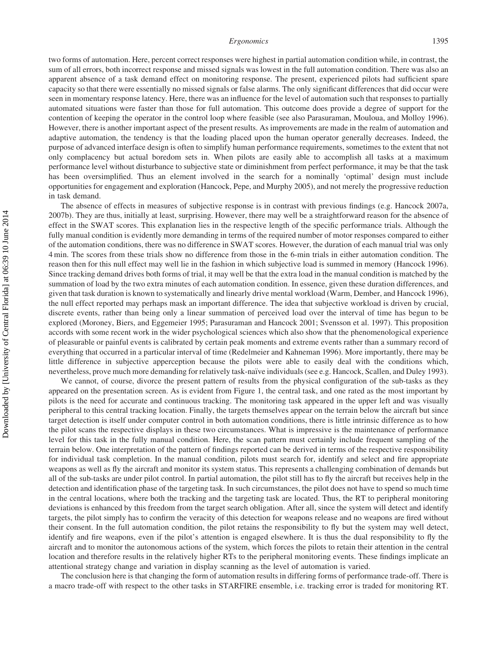two forms of automation. Here, percent correct responses were highest in partial automation condition while, in contrast, the sum of all errors, both incorrect response and missed signals was lowest in the full automation condition. There was also an apparent absence of a task demand effect on monitoring response. The present, experienced pilots had sufficient spare capacity so that there were essentially no missed signals or false alarms. The only significant differences that did occur were seen in momentary response latency. Here, there was an influence for the level of automation such that responses to partially automated situations were faster than those for full automation. This outcome does provide a degree of support for the contention of keeping the operator in the control loop where feasible (see also Parasuraman, Mouloua, and Molloy 1996). However, there is another important aspect of the present results. As improvements are made in the realm of automation and adaptive automation, the tendency is that the loading placed upon the human operator generally decreases. Indeed, the purpose of advanced interface design is often to simplify human performance requirements, sometimes to the extent that not only complacency but actual boredom sets in. When pilots are easily able to accomplish all tasks at a maximum performance level without disturbance to subjective state or diminishment from perfect performance, it may be that the task has been oversimplified. Thus an element involved in the search for a nominally 'optimal' design must include opportunities for engagement and exploration (Hancock, Pepe, and Murphy 2005), and not merely the progressive reduction in task demand.

The absence of effects in measures of subjective response is in contrast with previous findings (e.g. Hancock 2007a, 2007b). They are thus, initially at least, surprising. However, there may well be a straightforward reason for the absence of effect in the SWAT scores. This explanation lies in the respective length of the specific performance trials. Although the fully manual condition is evidently more demanding in terms of the required number of motor responses compared to either of the automation conditions, there was no difference in SWAT scores. However, the duration of each manual trial was only 4 min. The scores from these trials show no difference from those in the 6-min trials in either automation condition. The reason then for this null effect may well lie in the fashion in which subjective load is summed in memory (Hancock 1996). Since tracking demand drives both forms of trial, it may well be that the extra load in the manual condition is matched by the summation of load by the two extra minutes of each automation condition. In essence, given these duration differences, and given that task duration is known to systematically and linearly drive mental workload (Warm, Dember, and Hancock 1996), the null effect reported may perhaps mask an important difference. The idea that subjective workload is driven by crucial, discrete events, rather than being only a linear summation of perceived load over the interval of time has begun to be explored (Moroney, Biers, and Eggemeier 1995; Parasuraman and Hancock 2001; Svensson et al. 1997). This proposition accords with some recent work in the wider psychological sciences which also show that the phenomenological experience of pleasurable or painful events is calibrated by certain peak moments and extreme events rather than a summary record of everything that occurred in a particular interval of time (Redelmeier and Kahneman 1996). More importantly, there may be little difference in subjective apperception because the pilots were able to easily deal with the conditions which, nevertheless, prove much more demanding for relatively task-naı̈ve individuals (see e.g. Hancock, Scallen, and Duley 1993).

We cannot, of course, divorce the present pattern of results from the physical configuration of the sub-tasks as they appeared on the presentation screen. As is evident from Figure 1, the central task, and one rated as the most important by pilots is the need for accurate and continuous tracking. The monitoring task appeared in the upper left and was visually peripheral to this central tracking location. Finally, the targets themselves appear on the terrain below the aircraft but since target detection is itself under computer control in both automation conditions, there is little intrinsic difference as to how the pilot scans the respective displays in these two circumstances. What is impressive is the maintenance of performance level for this task in the fully manual condition. Here, the scan pattern must certainly include frequent sampling of the terrain below. One interpretation of the pattern of findings reported can be derived in terms of the respective responsibility for individual task completion. In the manual condition, pilots must search for, identify and select and fire appropriate weapons as well as fly the aircraft and monitor its system status. This represents a challenging combination of demands but all of the sub-tasks are under pilot control. In partial automation, the pilot still has to fly the aircraft but receives help in the detection and identification phase of the targeting task. In such circumstances, the pilot does not have to spend so much time in the central locations, where both the tracking and the targeting task are located. Thus, the RT to peripheral monitoring deviations is enhanced by this freedom from the target search obligation. After all, since the system will detect and identify targets, the pilot simply has to confirm the veracity of this detection for weapons release and no weapons are fired without their consent. In the full automation condition, the pilot retains the responsibility to fly but the system may well detect, identify and fire weapons, even if the pilot's attention is engaged elsewhere. It is thus the dual responsibility to fly the aircraft and to monitor the autonomous actions of the system, which forces the pilots to retain their attention in the central location and therefore results in the relatively higher RTs to the peripheral monitoring events. These findings implicate an attentional strategy change and variation in display scanning as the level of automation is varied.

The conclusion here is that changing the form of automation results in differing forms of performance trade-off. There is a macro trade-off with respect to the other tasks in STARFIRE ensemble, i.e. tracking error is traded for monitoring RT.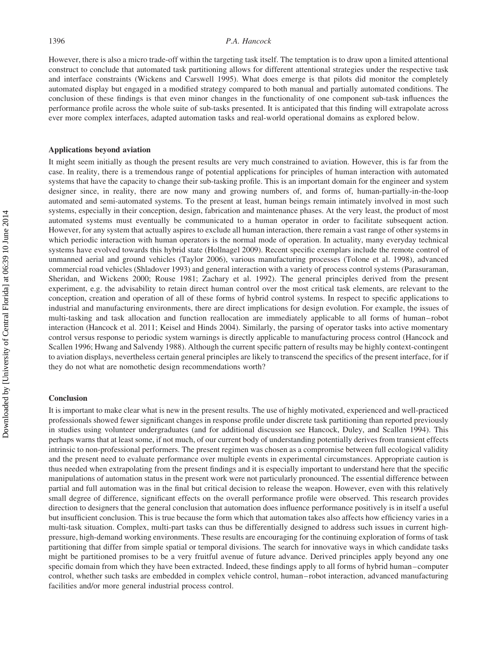However, there is also a micro trade-off within the targeting task itself. The temptation is to draw upon a limited attentional construct to conclude that automated task partitioning allows for different attentional strategies under the respective task and interface constraints (Wickens and Carswell 1995). What does emerge is that pilots did monitor the completely automated display but engaged in a modified strategy compared to both manual and partially automated conditions. The conclusion of these findings is that even minor changes in the functionality of one component sub-task influences the performance profile across the whole suite of sub-tasks presented. It is anticipated that this finding will extrapolate across ever more complex interfaces, adapted automation tasks and real-world operational domains as explored below.

## Applications beyond aviation

It might seem initially as though the present results are very much constrained to aviation. However, this is far from the case. In reality, there is a tremendous range of potential applications for principles of human interaction with automated systems that have the capacity to change their sub-tasking profile. This is an important domain for the engineer and system designer since, in reality, there are now many and growing numbers of, and forms of, human-partially-in-the-loop automated and semi-automated systems. To the present at least, human beings remain intimately involved in most such systems, especially in their conception, design, fabrication and maintenance phases. At the very least, the product of most automated systems must eventually be communicated to a human operator in order to facilitate subsequent action. However, for any system that actually aspires to exclude all human interaction, there remain a vast range of other systems in which periodic interaction with human operators is the normal mode of operation. In actuality, many everyday technical systems have evolved towards this hybrid state (Hollnagel 2009). Recent specific exemplars include the remote control of unmanned aerial and ground vehicles (Taylor 2006), various manufacturing processes (Tolone et al. 1998), advanced commercial road vehicles (Shladover 1993) and general interaction with a variety of process control systems (Parasuraman, Sheridan, and Wickens 2000; Rouse 1981; Zachary et al. 1992). The general principles derived from the present experiment, e.g. the advisability to retain direct human control over the most critical task elements, are relevant to the conception, creation and operation of all of these forms of hybrid control systems. In respect to specific applications to industrial and manufacturing environments, there are direct implications for design evolution. For example, the issues of multi-tasking and task allocation and function reallocation are immediately applicable to all forms of human-robot interaction (Hancock et al. 2011; Keisel and Hinds 2004). Similarly, the parsing of operator tasks into active momentary control versus response to periodic system warnings is directly applicable to manufacturing process control (Hancock and Scallen 1996; Hwang and Salvendy 1988). Although the current specific pattern of results may be highly context-contingent to aviation displays, nevertheless certain general principles are likely to transcend the specifics of the present interface, for if they do not what are nomothetic design recommendations worth?

## Conclusion

It is important to make clear what is new in the present results. The use of highly motivated, experienced and well-practiced professionals showed fewer significant changes in response profile under discrete task partitioning than reported previously in studies using volunteer undergraduates (and for additional discussion see Hancock, Duley, and Scallen 1994). This perhaps warns that at least some, if not much, of our current body of understanding potentially derives from transient effects intrinsic to non-professional performers. The present regimen was chosen as a compromise between full ecological validity and the present need to evaluate performance over multiple events in experimental circumstances. Appropriate caution is thus needed when extrapolating from the present findings and it is especially important to understand here that the specific manipulations of automation status in the present work were not particularly pronounced. The essential difference between partial and full automation was in the final but critical decision to release the weapon. However, even with this relatively small degree of difference, significant effects on the overall performance profile were observed. This research provides direction to designers that the general conclusion that automation does influence performance positively is in itself a useful but insufficient conclusion. This is true because the form which that automation takes also affects how efficiency varies in a multi-task situation. Complex, multi-part tasks can thus be differentially designed to address such issues in current highpressure, high-demand working environments. These results are encouraging for the continuing exploration of forms of task partitioning that differ from simple spatial or temporal divisions. The search for innovative ways in which candidate tasks might be partitioned promises to be a very fruitful avenue of future advance. Derived principles apply beyond any one specific domain from which they have been extracted. Indeed, these findings apply to all forms of hybrid human –computer control, whether such tasks are embedded in complex vehicle control, human– robot interaction, advanced manufacturing facilities and/or more general industrial process control.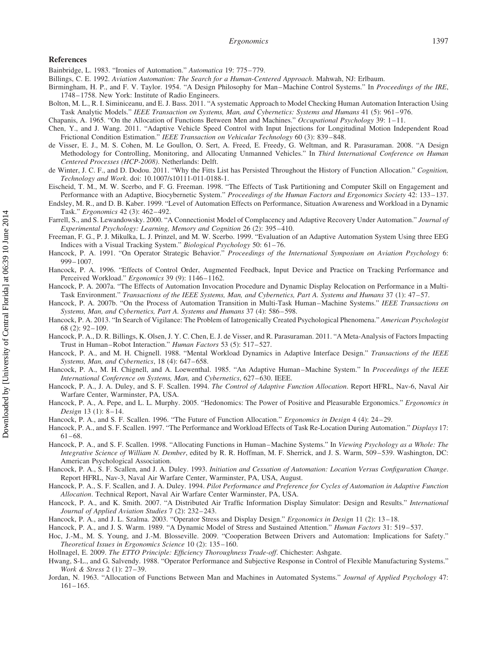Bainbridge, L. 1983. "Ironies of Automation." Automatica 19: 775– 779.

- Billings, C. E. 1992. Aviation Automation: The Search for a Human-Centered Approach. Mahwah, NJ: Erlbaum.
- Birmingham, H. P., and F. V. Taylor. 1954. "A Design Philosophy for Man –Machine Control Systems." In Proceedings of the IRE, 1748– 1758. New York: Institute of Radio Engineers.
- Bolton, M. L., R. I. Siminiceanu, and E. J. Bass. 2011. "A systematic Approach to Model Checking Human Automation Interaction Using Task Analytic Models." IEEE Transaction on Systems, Man, and Cybernetics: Systems and Humans 41 (5): 961-976.
- Chapanis, A. 1965. "On the Allocation of Functions Between Men and Machines." Occupational Psychology 39: 1–11.
- Chen, Y., and J. Wang. 2011. "Adaptive Vehicle Speed Control with Input Injections for Longitudinal Motion Independent Road Frictional Condition Estimation." IEEE Transaction on Vehicular Technology 60 (3): 839– 848.
- de Visser, E. J., M. S. Cohen, M. Le Goullon, O. Sert, A. Freed, E. Freedy, G. Weltman, and R. Parasuraman. 2008. "A Design Methodology for Controlling, Monitoring, and Allocating Unmanned Vehicles." In Third International Conference on Human Centered Processes (HCP-2008). Netherlands: Delft.
- de Winter, J. C. F., and D. Dodou. 2011. "Why the Fitts List has Persisted Throughout the History of Function Allocation." Cognition, Technology and Work. doi: 10.1007/s10111-011-0188-1.
- Eischeid, T. M., M. W. Scerbo, and F. G. Freeman. 1998. "The Effects of Task Partitioning and Computer Skill on Engagement and Performance with an Adaptive, Biocybernetic System." Proceedings of the Human Factors and Ergonomics Society 42: 133–137.
- Endsley, M. R., and D. B. Kaber. 1999. "Level of Automation Effects on Performance, Situation Awareness and Workload in a Dynamic Task." Ergonomics 42 (3): 462– 492.
- Farrell, S., and S. Lewandowsky. 2000. "A Connectionist Model of Complacency and Adaptive Recovery Under Automation." Journal of Experimental Psychology: Learning, Memory and Cognition 26 (2): 395–410.
- Freeman, F. G., P. J. Mikulka, L. J. Prinzel, and M. W. Scerbo. 1999. "Evaluation of an Adaptive Automation System Using three EEG Indices with a Visual Tracking System." Biological Psychology 50: 61-76.
- Hancock, P. A. 1991. "On Operator Strategic Behavior." Proceedings of the International Symposium on Aviation Psychology 6: 999– 1007.
- Hancock, P. A. 1996. "Effects of Control Order, Augmented Feedback, Input Device and Practice on Tracking Performance and Perceived Workload." Ergonomics 39 (9): 1146-1162.
- Hancock, P. A. 2007a. "The Effects of Automation Invocation Procedure and Dynamic Display Relocation on Performance in a Multi-Task Environment." Transactions of the IEEE Systems, Man, and Cybernetics, Part A. Systems and Humans 37 (1): 47 – 57.
- Hancock, P. A. 2007b. "On the Process of Automation Transition in Multi-Task Human-Machine Systems." IEEE Transactions on Systems, Man, and Cybernetics, Part A. Systems and Humans 37 (4): 586-598.
- Hancock, P. A. 2013. "In Search of Vigilance: The Problem of Iatrogenically Created Psychological Phenomena." American Psychologist  $68$  (2):  $92 - 109$ .
- Hancock, P. A., D. R. Billings, K. Olsen, J. Y. C. Chen, E. J. de Visser, and R. Parasuraman. 2011. "A Meta-Analysis of Factors Impacting Trust in Human –Robot Interaction." Human Factors 53 (5): 517–527.
- Hancock, P. A., and M. H. Chignell. 1988. "Mental Workload Dynamics in Adaptive Interface Design." Transactions of the IEEE Systems, Man, and Cybernetics, 18 (4): 647-658.
- Hancock, P. A., M. H. Chignell, and A. Loewenthal. 1985. "An Adaptive Human-Machine System." In Proceedings of the IEEE International Conference on Systems, Man, and Cybernetics, 627-630. IEEE.
- Hancock, P. A., J. A. Duley, and S. F. Scallen. 1994. The Control of Adaptive Function Allocation. Report HFRL, Nav-6, Naval Air Warfare Center, Warminster, PA, USA.
- Hancock, P. A., A. Pepe, and L. L. Murphy. 2005. "Hedonomics: The Power of Positive and Pleasurable Ergonomics." Ergonomics in Design 13 (1): 8-14.
- Hancock, P. A., and S. F. Scallen. 1996. "The Future of Function Allocation." Ergonomics in Design 4 (4): 24 29.
- Hancock, P. A., and S. F. Scallen. 1997. "The Performance and Workload Effects of Task Re-Location During Automation." Displays 17:  $61 - 68.$
- Hancock, P. A., and S. F. Scallen. 1998. "Allocating Functions in Human –Machine Systems." In Viewing Psychology as a Whole: The Integrative Science of William N. Dember, edited by R. R. Hoffman, M. F. Sherrick, and J. S. Warm, 509-539. Washington, DC: American Psychological Association.
- Hancock, P. A., S. F. Scallen, and J. A. Duley. 1993. Initiation and Cessation of Automation: Location Versus Configuration Change. Report HFRL, Nav-3, Naval Air Warfare Center, Warminster, PA, USA, August.
- Hancock, P. A., S. F. Scallen, and J. A. Duley. 1994. Pilot Performance and Preference for Cycles of Automation in Adaptive Function Allocation. Technical Report, Naval Air Warfare Center Warminster, PA, USA.
- Hancock, P. A., and K. Smith. 2007. "A Distributed Air Traffic Information Display Simulator: Design and Results." International Journal of Applied Aviation Studies 7 (2): 232– 243.
- Hancock, P. A., and J. L. Szalma. 2003. "Operator Stress and Display Design." Ergonomics in Design 11 (2): 13–18.
- Hancock, P. A., and J. S. Warm. 1989. "A Dynamic Model of Stress and Sustained Attention." Human Factors 31: 519–537.
- Hoc, J.-M., M. S. Young, and J.-M. Blosseville. 2009. "Cooperation Between Drivers and Automation: Implications for Safety." Theoretical Issues in Ergonomics Science 10 (2): 135– 160.
- Hollnagel, E. 2009. The ETTO Principle: Efficiency Thoroughness Trade-off. Chichester: Ashgate.
- Hwang, S-L., and G. Salvendy. 1988. "Operator Performance and Subjective Response in Control of Flexible Manufacturing Systems." Work & Stress 2 (1): 27 – 39.
- Jordan, N. 1963. "Allocation of Functions Between Man and Machines in Automated Systems." Journal of Applied Psychology 47:  $161 - 165$ .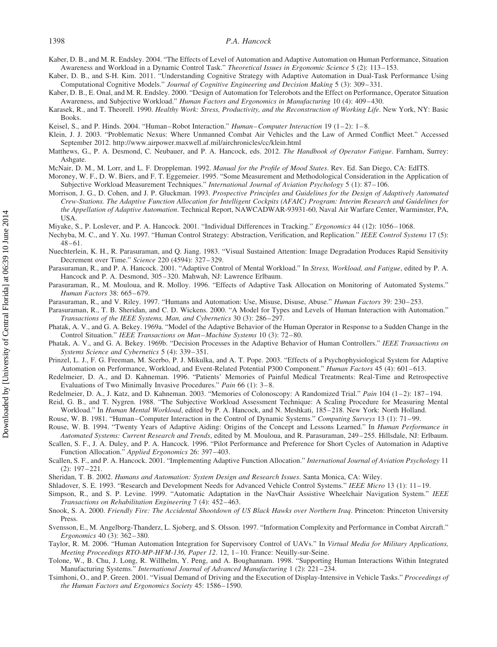- Kaber, D. B., and M. R. Endsley. 2004. "The Effects of Level of Automation and Adaptive Automation on Human Performance, Situation Awareness and Workload in a Dynamic Control Task." Theoretical Issues in Ergonomic Science 5 (2): 113-153.
- Kaber, D. B., and S-H. Kim. 2011. "Understanding Cognitive Strategy with Adaptive Automation in Dual-Task Performance Using Computational Cognitive Models." Journal of Cognitive Engineering and Decision Making 5 (3): 309– 331.
- Kaber, D. B., E. Onal, and M. R. Endsley. 2000. "Design of Automation for Telerobots and the Effect on Performance, Operator Situation Awareness, and Subjective Workload." Human Factors and Ergonomics in Manufacturing 10 (4): 409-430.
- Karasek, R., and T. Theorell. 1990. Healthy Work: Stress, Productivity, and the Reconstruction of Working Life. New York, NY: Basic Books.
- Keisel, S., and P. Hinds. 2004. "Human–Robot Interaction." Human–Computer Interaction 19 (1–2): 1–8.
- Klein, J. J. 2003. "Problematic Nexus: Where Unmanned Combat Air Vehicles and the Law of Armed Conflict Meet." Accessed September 2012. http://www.airpower.maxwell.af.mil/airchronicles/cc/klein.html
- Matthews, G., P. A. Desmond, C. Neubauer, and P. A. Hancock, eds. 2012. The Handbook of Operator Fatigue. Farnham, Surrey: Ashgate.
- McNair, D. M., M. Lorr, and L. F. Droppleman. 1992. Manual for the Profile of Mood States. Rev. Ed. San Diego, CA: EdITS.
- Moroney, W. F., D. W. Biers, and F. T. Eggemeier. 1995. "Some Measurement and Methodological Consideration in the Application of Subjective Workload Measurement Techniques." International Journal of Aviation Psychology 5 (1): 87 – 106.
- Morrison, J. G., D. Cohen, and J. P. Gluckman. 1993. Prospective Principles and Guidelines for the Design of Adaptively Automated Crew-Stations. The Adaptive Function Allocation for Intelligent Cockpits (AFAIC) Program: Interim Research and Guidelines for the Appellation of Adaptive Automation. Technical Report, NAWCADWAR-93931-60, Naval Air Warfare Center, Warminster, PA, USA.
- Miyake, S., P. Loslever, and P. A. Hancock. 2001. "Individual Differences in Tracking." Ergonomics 44 (12): 1056– 1068.
- Nechyba, M. C., and Y. Xu. 1997. "Human Control Strategy: Abstraction, Verification, and Replication." IEEE Control Systems 17 (5):  $48 - 61$ .
- Nuechterlein, K. H., R. Parasuraman, and Q. Jiang. 1983. "Visual Sustained Attention: Image Degradation Produces Rapid Sensitivity Decrement over Time." Science 220 (4594): 327– 329.
- Parasuraman, R., and P. A. Hancock. 2001. "Adaptive Control of Mental Workload." In Stress, Workload, and Fatigue, edited by P. A. Hancock and P. A. Desmond, 305– 320. Mahwah, NJ: Lawrence Erlbaum.
- Parasuraman, R., M. Mouloua, and R. Molloy. 1996. "Effects of Adaptive Task Allocation on Monitoring of Automated Systems." Human Factors 38: 665-679.
- Parasuraman, R., and V. Riley. 1997. "Humans and Automation: Use, Misuse, Disuse, Abuse." Human Factors 39: 230-253.
- Parasuraman, R., T. B. Sheridan, and C. D. Wickens. 2000. "A Model for Types and Levels of Human Interaction with Automation." Transactions of the IEEE Systems, Man, and Cybernetics 30 (3): 286– 297.
- Phatak, A. V., and G. A. Bekey. 1969a. "Model of the Adaptive Behavior of the Human Operator in Response to a Sudden Change in the Control Situation." IEEE Transactions on Man-Machine Systems 10 (3): 72-80.
- Phatak, A. V., and G. A. Bekey. 1969b. "Decision Processes in the Adaptive Behavior of Human Controllers." IEEE Transactions on Systems Science and Cybernetics 5 (4): 339-351.
- Prinzel, L. J., F. G. Freeman, M. Scerbo, P. J. Mikulka, and A. T. Pope. 2003. "Effects of a Psychophysiological System for Adaptive Automation on Performance, Workload, and Event-Related Potential P300 Component." Human Factors 45 (4): 601–613.
- Redelmeier, D. A., and D. Kahneman. 1996. "Patients' Memories of Painful Medical Treatments: Real-Time and Retrospective Evaluations of Two Minimally Invasive Procedures." Pain 66 (1): 3-8.
- Redelmeier, D. A., J. Katz, and D. Kahneman. 2003. "Memories of Colonoscopy: A Randomized Trial." Pain 104 (1-2): 187-194.
- Reid, G. B., and T. Nygren. 1988. "The Subjective Workload Assessment Technique: A Scaling Procedure for Measuring Mental Workload." In Human Mental Workload, edited by P. A. Hancock, and N. Meshkati, 185-218. New York: North Holland.
- Rouse, W. B. 1981. "Human-Computer Interaction in the Control of Dynamic Systems." Computing Surveys 13 (1): 71–99.
- Rouse, W. B. 1994. "Twenty Years of Adaptive Aiding: Origins of the Concept and Lessons Learned." In Human Performance in
- Automated Systems: Current Research and Trends, edited by M. Mouloua, and R. Parasuraman, 249-255. Hillsdale, NJ: Erlbaum. Scallen, S. F., J. A. Duley, and P. A. Hancock. 1996. "Pilot Performance and Preference for Short Cycles of Automation in Adaptive Function Allocation." Applied Ergonomics 26: 397–403.
- Scallen, S. F., and P. A. Hancock. 2001. "Implementing Adaptive Function Allocation." International Journal of Aviation Psychology 11  $(2): 197 - 221.$
- Sheridan, T. B. 2002. Humans and Automation: System Design and Research Issues. Santa Monica, CA: Wiley.
- Shladover, S. E. 1993. "Research and Development Needs for Advanced Vehicle Control Systems." IEEE Micro 13 (1): 11 19.
- Simpson, R., and S. P. Levine. 1999. "Automatic Adaptation in the NavChair Assistive Wheelchair Navigation System." IEEE Transactions on Rehabilitation Engineering 7 (4): 452–463.
- Snook, S. A. 2000. Friendly Fire: The Accidental Shootdown of US Black Hawks over Northern Iraq. Princeton: Princeton University Press.
- Svensson, E., M. Angelborg-Thanderz, L. Sjoberg, and S. Olsson. 1997. "Information Complexity and Performance in Combat Aircraft." Ergonomics 40 (3): 362– 380.
- Taylor, R. M. 2006. "Human Automation Integration for Supervisory Control of UAVs." In Virtual Media for Military Applications, Meeting Proceedings RTO-MP-HFM-136, Paper 12, 12, 1-10. France: Neuilly-sur-Seine.
- Tolone, W., B. Chu, J. Long, R. Willhelm, Y. Peng, and A. Boughannam. 1998. "Supporting Human Interactions Within Integrated Manufacturing Systems." International Journal of Advanced Manufacturing 1 (2): 221-234.
- Tsimhoni, O., and P. Green. 2001. "Visual Demand of Driving and the Execution of Display-Intensive in Vehicle Tasks." Proceedings of the Human Factors and Ergonomics Society 45: 1586– 1590.